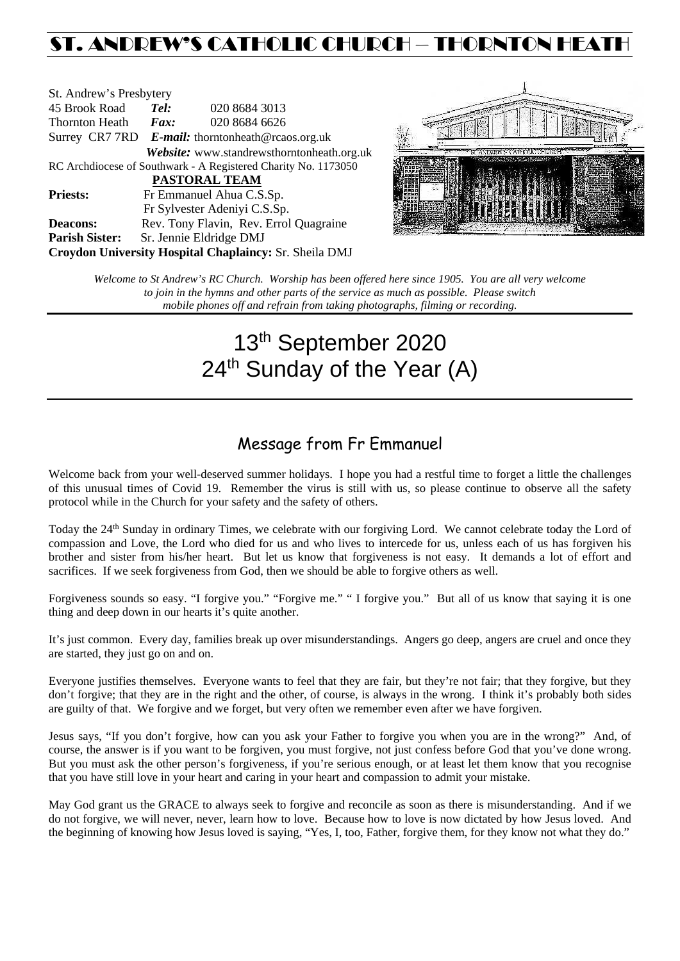## ST. ANDREW'S CATHOLIC CHURCH – THORNTON HEAT

| St. Andrew's Presbytery                                        |                                                   |  |                                            |  |  |
|----------------------------------------------------------------|---------------------------------------------------|--|--------------------------------------------|--|--|
| 45 Brook Road                                                  | Tel:                                              |  | 020 8684 3013                              |  |  |
| <b>Thornton Heath</b>                                          | $\boldsymbol{F}$ <i>ax</i> :                      |  | 020 8684 6626                              |  |  |
|                                                                | Surrey CR7 7RD E-mail: thorntonheath@rcaos.org.uk |  |                                            |  |  |
|                                                                |                                                   |  | Website: www.standrewsthorntonheath.org.uk |  |  |
| RC Archdiocese of Southwark - A Registered Charity No. 1173050 |                                                   |  |                                            |  |  |
| <b>PASTORAL TEAM</b>                                           |                                                   |  |                                            |  |  |
| <b>Priests:</b>                                                | Fr Emmanuel Ahua C.S.Sp.                          |  |                                            |  |  |
|                                                                |                                                   |  | Fr Sylvester Adeniyi C.S.Sp.               |  |  |
| <b>Deacons:</b>                                                |                                                   |  | Rev. Tony Flavin, Rev. Errol Quagraine     |  |  |
| <b>Parish Sister:</b>                                          | Sr. Jennie Eldridge DMJ                           |  |                                            |  |  |
| Croydon University Hospital Chaplaincy: Sr. Sheila DMJ         |                                                   |  |                                            |  |  |



*Welcome to St Andrew's RC Church. Worship has been offered here since 1905. You are all very welcome to join in the hymns and other parts of the service as much as possible. Please switch mobile phones off and refrain from taking photographs, filming or recording.*

# 13th September 2020 24<sup>th</sup> Sunday of the Year (A)

### Message from Fr Emmanuel

Welcome back from your well-deserved summer holidays. I hope you had a restful time to forget a little the challenges of this unusual times of Covid 19. Remember the virus is still with us, so please continue to observe all the safety protocol while in the Church for your safety and the safety of others.

Today the 24<sup>th</sup> Sunday in ordinary Times, we celebrate with our forgiving Lord. We cannot celebrate today the Lord of compassion and Love, the Lord who died for us and who lives to intercede for us, unless each of us has forgiven his brother and sister from his/her heart. But let us know that forgiveness is not easy. It demands a lot of effort and sacrifices. If we seek forgiveness from God, then we should be able to forgive others as well.

Forgiveness sounds so easy. "I forgive you." "Forgive me." " I forgive you." But all of us know that saying it is one thing and deep down in our hearts it's quite another.

It's just common. Every day, families break up over misunderstandings. Angers go deep, angers are cruel and once they are started, they just go on and on.

Everyone justifies themselves. Everyone wants to feel that they are fair, but they're not fair; that they forgive, but they don't forgive; that they are in the right and the other, of course, is always in the wrong. I think it's probably both sides are guilty of that. We forgive and we forget, but very often we remember even after we have forgiven.

Jesus says, "If you don't forgive, how can you ask your Father to forgive you when you are in the wrong?" And, of course, the answer is if you want to be forgiven, you must forgive, not just confess before God that you've done wrong. But you must ask the other person's forgiveness, if you're serious enough, or at least let them know that you recognise that you have still love in your heart and caring in your heart and compassion to admit your mistake.

May God grant us the GRACE to always seek to forgive and reconcile as soon as there is misunderstanding. And if we do not forgive, we will never, never, learn how to love. Because how to love is now dictated by how Jesus loved. And the beginning of knowing how Jesus loved is saying, "Yes, I, too, Father, forgive them, for they know not what they do."